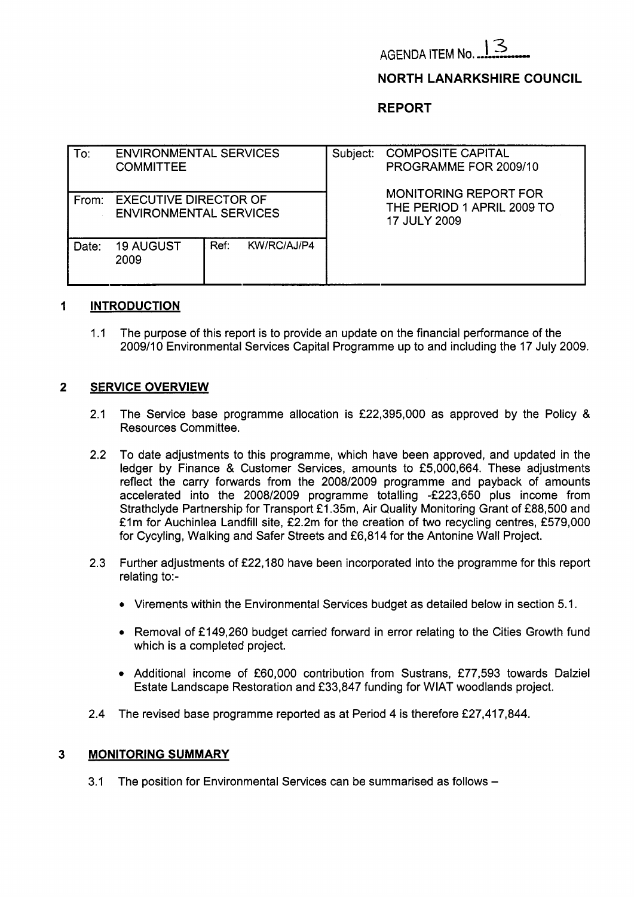

# **NORTH LANARKSHIRE COUNCIL**

**REPORT** 

| To:   | <b>ENVIRONMENTAL SERVICES</b><br><b>COMMITTEE</b>             |      |             | Subject: | <b>COMPOSITE CAPITAL</b><br>PROGRAMME FOR 2009/10                                 |  |  |
|-------|---------------------------------------------------------------|------|-------------|----------|-----------------------------------------------------------------------------------|--|--|
| From: | <b>EXECUTIVE DIRECTOR OF</b><br><b>ENVIRONMENTAL SERVICES</b> |      |             |          | <b>MONITORING REPORT FOR</b><br>THE PERIOD 1 APRIL 2009 TO<br><b>17 JULY 2009</b> |  |  |
| Date: | <b>19 AUGUST</b><br>2009                                      | Ref: | KW/RC/AJ/P4 |          |                                                                                   |  |  |

# **1 INTRODUCTION**

1.1 The purpose of this report is to provide an update on the financial performance of the 2009/10 Environmental Services Capital Programme up to and including the 17 July 2009.

# **2 SERVICE OVERVIEW**

- 2.1 The Service base programme allocation is f22,395,000 as approved by the Policy & Resources Committee.
- 2.2 To date adjustments to this programme, which have been approved, and updated in the ledger by Finance & Customer Services, amounts to £5,000,664. These adjustments reflect the carry forwards from the 2008/2009 programme and payback of amounts accelerated into the 2008/2009 programme totalling -f223,650 plus income from Strathclyde Partnership for Transport £1.35m, Air Quality Monitoring Grant of £88,500 and £1m for Auchinlea Landfill site, £2.2m for the creation of two recycling centres, £579,000 for Cycyling, Walking and Safer Streets and £6,814 for the Antonine Wall Project.
- 2.3 Further adjustments of f22,180 have been incorporated into the programme for this report relating to:-
	- Virements within the Environmental Services budget as detailed below in section 5.1.
	- Removal of £149,260 budget carried forward in error relating to the Cities Growth fund which is a completed project.
	- Additional income of £60,000 contribution from Sustrans, £77,593 towards Dalziel Estate Landscape Restoration and £33,847 funding for WIAT woodlands project.
- 2.4 The revised base programme reported as at Period 4 is therefore £27,417,844.

### **3 MONITORING SUMMARY**

3.1 The position for Environmental Services can be summarised as follows -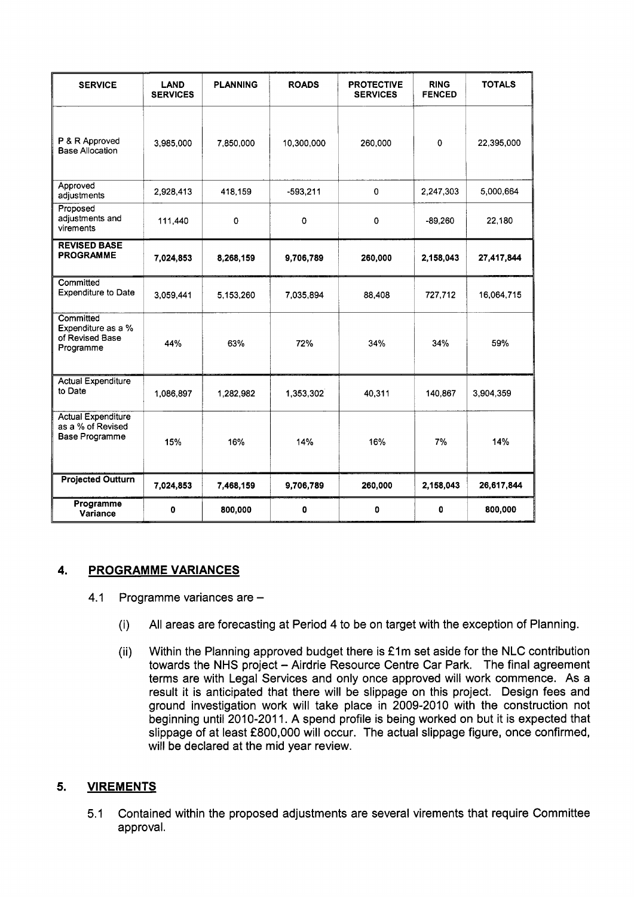| <b>SERVICE</b>                                                   | <b>LAND</b><br><b>SERVICES</b> | <b>PLANNING</b> | <b>ROADS</b> | <b>PROTECTIVE</b><br><b>SERVICES</b> | <b>RING</b><br><b>FENCED</b> | <b>TOTALS</b> |
|------------------------------------------------------------------|--------------------------------|-----------------|--------------|--------------------------------------|------------------------------|---------------|
| P & R Approved<br><b>Base Allocation</b>                         | 3,985,000                      | 7,850,000       | 10,300,000   | 260,000                              | $\mathbf 0$                  | 22,395,000    |
| Approved<br>adjustments                                          | 2,928,413                      | 418,159         | $-593,211$   | $\overline{0}$                       | 2,247,303                    | 5,000,664     |
| Proposed<br>adjustments and<br>virements                         | 111,440                        | $\mathbf 0$     | $\mathbf 0$  | 0                                    | $-89,260$                    | 22,180        |
| <b>REVISED BASE</b><br><b>PROGRAMME</b>                          | 7,024,853                      | 8,268,159       | 9,706,789    | 260,000                              | 2,158,043                    | 27,417,844    |
| Committed<br><b>Expenditure to Date</b>                          | 3,059,441                      | 5,153,260       | 7,035,894    | 88,408                               | 727,712                      | 16,064,715    |
| Committed<br>Expenditure as a %<br>of Revised Base<br>Programme  | 44%                            | 63%             | 72%          | 34%                                  | 34%                          | 59%           |
| <b>Actual Expenditure</b><br>to Date                             | 1,086,897                      | 1,282,982       | 1,353,302    | 40,311                               | 140,867                      | 3,904,359     |
| <b>Actual Expenditure</b><br>as a % of Revised<br>Base Programme | 15%                            | 16%             | 14%          | 16%                                  | 7%                           | 14%           |
| <b>Projected Outturn</b>                                         | 7,024,853                      | 7,468,159       | 9,706,789    | 260,000                              | 2,158,043                    | 26,617,844    |
| Programme<br>Variance                                            | $\mathbf 0$                    | 800,000         | $\mathbf 0$  | 0                                    | 0                            | 800,000       |

# **4. PROGRAMME VARIANCES**

- 4.1 Programme variances are -
	- (i) All areas are forecasting at Period **4** to be on target with the exception of Planning.
	- (ii) Within the Planning approved budget there is **f** Im set aside for the NLC contribution towards the NHS project - Airdrie Resource Centre Car Park. The final agreement terms are with Legal Services and only once approved will work commence. As a result it is anticipated that there will be slippage on this project. Design fees and ground investigation work will take place in 2009-2010 with the construction not beginning until 2010-2011. A spend profile is being worked on but it is expected that slippage of at least **f** 800,000 will occur. The actual slippage figure, once confirmed, will be declared at the mid year review.

# **5. VIREMENTS**

5.1 Contained within the proposed adjustments are several virements that require Committee approval.